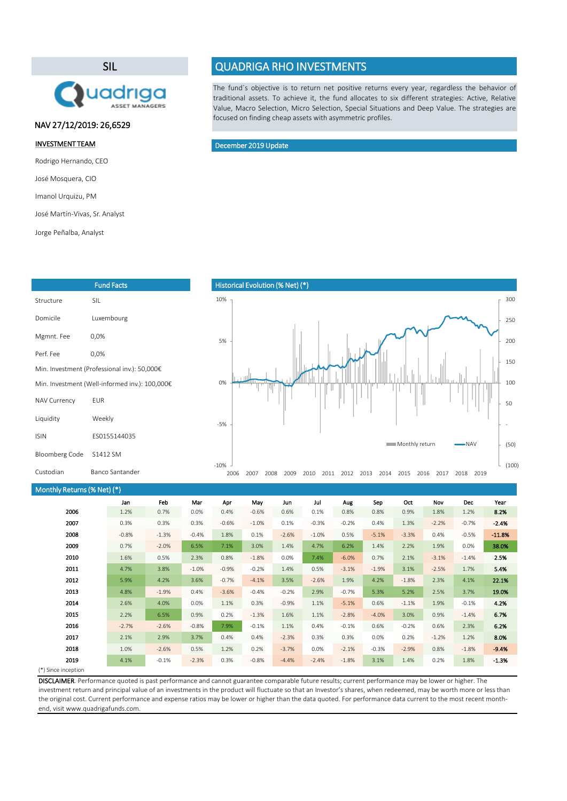#### (\*) Since inception

| Monthly Returns (% Net) (*) |         |         |         |         |         |         |         |         |         |         |         |         |          |
|-----------------------------|---------|---------|---------|---------|---------|---------|---------|---------|---------|---------|---------|---------|----------|
|                             | Jan     | Feb     | Mar     | Apr     | May     | Jun     | Jul     | Aug     | Sep     | Oct     | Nov     | Dec     | Year     |
| 2006                        | 1.2%    | 0.7%    | 0.0%    | 0.4%    | $-0.6%$ | 0.6%    | 0.1%    | 0.8%    | 0.8%    | 0.9%    | 1.8%    | 1.2%    | 8.2%     |
| 2007                        | 0.3%    | 0.3%    | 0.3%    | $-0.6%$ | $-1.0%$ | 0.1%    | $-0.3%$ | $-0.2%$ | 0.4%    | 1.3%    | $-2.2%$ | $-0.7%$ | $-2.4%$  |
| 2008                        | $-0.8%$ | $-1.3%$ | $-0.4%$ | 1.8%    | 0.1%    | $-2.6%$ | $-1.0%$ | 0.5%    | $-5.1%$ | $-3.3%$ | 0.4%    | $-0.5%$ | $-11.8%$ |
| 2009                        | 0.7%    | $-2.0%$ | 6.5%    | 7.1%    | 3.0%    | 1.4%    | 4.7%    | 6.2%    | 1.4%    | 2.2%    | 1.9%    | 0.0%    | 38.0%    |
| 2010                        | 1.6%    | 0.5%    | 2.3%    | 0.8%    | $-1.8%$ | 0.0%    | 7.4%    | $-6.0%$ | 0.7%    | 2.1%    | $-3.1%$ | $-1.4%$ | 2.5%     |
| 2011                        | 4.7%    | 3.8%    | $-1.0%$ | $-0.9%$ | $-0.2%$ | 1.4%    | 0.5%    | $-3.1%$ | $-1.9%$ | 3.1%    | $-2.5%$ | 1.7%    | 5.4%     |
| 2012                        | 5.9%    | 4.2%    | 3.6%    | $-0.7%$ | $-4.1%$ | 3.5%    | $-2.6%$ | 1.9%    | 4.2%    | $-1.8%$ | 2.3%    | 4.1%    | 22.1%    |
| 2013                        | 4.8%    | $-1.9%$ | 0.4%    | $-3.6%$ | $-0.4%$ | $-0.2%$ | 2.9%    | $-0.7%$ | 5.3%    | 5.2%    | 2.5%    | 3.7%    | 19.0%    |
| 2014                        | 2.6%    | 4.0%    | 0.0%    | 1.1%    | 0.3%    | $-0.9%$ | 1.1%    | $-5.1%$ | 0.6%    | $-1.1%$ | 1.9%    | $-0.1%$ | 4.2%     |
| 2015                        | 2.2%    | 6.5%    | 0.9%    | 0.2%    | $-1.3%$ | 1.6%    | 1.1%    | $-2.8%$ | $-4.0%$ | 3.0%    | 0.9%    | $-1.4%$ | 6.7%     |
| 2016                        | $-2.7%$ | $-2.6%$ | $-0.8%$ | 7.9%    | $-0.1%$ | 1.1%    | 0.4%    | $-0.1%$ | 0.6%    | $-0.2%$ | 0.6%    | 2.3%    | 6.2%     |
| 2017                        | 2.1%    | 2.9%    | 3.7%    | 0.4%    | 0.4%    | $-2.3%$ | 0.3%    | 0.3%    | 0.0%    | 0.2%    | $-1.2%$ | 1.2%    | 8.0%     |
| 2018                        | 1.0%    | $-2.6%$ | 0.5%    | 1.2%    | 0.2%    | $-3.7%$ | 0.0%    | $-2.1%$ | $-0.3%$ | $-2.9%$ | 0.8%    | $-1.8%$ | $-9.4%$  |
| 2019                        | 4.1%    | $-0.1%$ | $-2.3%$ | 0.3%    | $-0.8%$ | $-4.4%$ | $-2.4%$ | $-1.8%$ | 3.1%    | 1.4%    | 0.2%    | 1.8%    | $-1.3%$  |
| $x \rightarrow 0$           |         |         |         |         |         |         |         |         |         |         |         |         |          |

The fund´s objective is to return net positive returns every year, regardless the behavior of traditional assets. To achieve it, the fund allocates to six different strategies: Active, Relative Value, Macro Selection, Micro Selection, Special Situations and Deep Value. The strategies are focused on finding cheap assets with asymmetric profiles.

# Historical Evolution (% Net) (\*) (50) - 50 100 150 200 250 300 -5% 0% 5% 10% Monthly return **- NAV**

| Custodian | <b>Banco Sant</b> |
|-----------|-------------------|
|           |                   |

tander

DISCLAIMER. Performance quoted is past performance and cannot guarantee comparable future results; current performance may be lower or higher. The investment return and principal value of an investments in the product will fluctuate so that an Investor's shares, when redeemed, may be worth more or less than the original cost. Current performance and expense ratios may be lower or higher than the data quoted. For performance data current to the most recent monthend, visit www.quadrigafunds.com.

### INVESTMENT TEAM

Rodrigo Hernando, CEO

José Mosquera, CIO

Imanol Urquizu, PM

José Martín-Vivas, Sr. Analyst

Jorge Peñalba, Analyst

## SIL



# QUADRIGA RHO INVESTMENTS

| <b>Fund Facts</b>                              |              |  |  |  |
|------------------------------------------------|--------------|--|--|--|
| Structure                                      | <b>SIL</b>   |  |  |  |
| Domicile                                       | Luxembourg   |  |  |  |
| Mgmnt. Fee                                     | 0,0%         |  |  |  |
| Perf. Fee                                      | 0,0%         |  |  |  |
| Min. Investment (Professional inv.): 50,000€   |              |  |  |  |
| Min. Investment (Well-informed inv.): 100,000€ |              |  |  |  |
| <b>NAV Currency</b>                            | <b>EUR</b>   |  |  |  |
| Liquidity                                      | Weekly       |  |  |  |
| <b>ISIN</b>                                    | ES0155144035 |  |  |  |
| Bloomberg Code                                 | S1412 SM     |  |  |  |

## December 2019 Update

## NAV 27/12/2019: 26,6529

-10%

2006 2007 2008 2009 2010 2011 2012 2013 2014 2015 2016 2017 2018 2019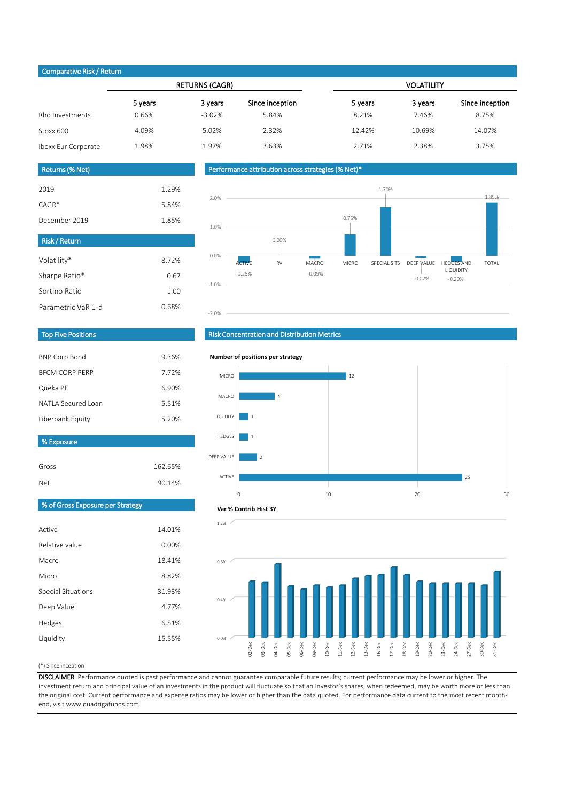#### (\*) Since inception

Gross 162.65%

DISCLAIMER. Performance quoted is past performance and cannot guarantee comparable future results; current performance may be lower or higher. The investment return and principal value of an investments in the product will fluctuate so that an Investor's shares, when redeemed, may be worth more or less than the original cost. Current performance and expense ratios may be lower or higher than the data quoted. For performance data current to the most recent monthend, visit www.quadrigafunds.com.

|                     |         | <b>RETURNS (CAGR)</b> |                 | <b>VOLATILITY</b> |         |                 |  |  |
|---------------------|---------|-----------------------|-----------------|-------------------|---------|-----------------|--|--|
|                     | 5 years | 3 years               | Since inception | 5 years           | 3 years | Since inception |  |  |
| Rho Investments     | 0.66%   | $-3.02%$              | 5.84%           | 8.21%             | 7.46%   | 8.75%           |  |  |
| Stoxx 600           | 4.09%   | 5.02%                 | 2.32%           | 12.42%            | 10.69%  | 14.07%          |  |  |
| Iboxx Eur Corporate | 1.98%   | 1.97%                 | 3.63%           | 2.71%             | 2.38%   | 3.75%           |  |  |

| <b>Net</b>                       | 90.14% |  |  |  |  |  |
|----------------------------------|--------|--|--|--|--|--|
| % of Gross Exposure per Strategy |        |  |  |  |  |  |
|                                  |        |  |  |  |  |  |
| Active                           | 14.01% |  |  |  |  |  |
| Relative value                   | 0.00%  |  |  |  |  |  |
| Macro                            | 18.41% |  |  |  |  |  |
| Micro                            | 8.82%  |  |  |  |  |  |
| <b>Special Situations</b>        | 31.93% |  |  |  |  |  |
| Deep Value                       | 4.77%  |  |  |  |  |  |
| Hedges                           | 6.51%  |  |  |  |  |  |
| Liquidity                        | 15.55% |  |  |  |  |  |
|                                  |        |  |  |  |  |  |

| <b>BNP Corp Bond</b>  | 9.36% |
|-----------------------|-------|
| <b>BECM CORP PERP</b> | 7.72% |
| Queka PE              | 6.90% |
| NATLA Secured Loan    | 5.51% |
| Liberbank Equity      | 5.20% |

| <b>Risk/Return</b> |       |
|--------------------|-------|
| Volatility*        | 8.72% |
| Sharpe Ratio*      | 0.67  |
| Sortino Ratio      | 1.00  |
| Parametric VaR 1-d | 0.68% |

| 2019          | $-1.29%$ |
|---------------|----------|
| $CAGR*$       | 5.84%    |
| December 2019 | 1.85%    |

## Returns (% Net)

## Top Five Positions

# Risk Concentration and Distribution Metrics

## Performance attribution across strategies (% Net)\*

### Comparative Risk / Return

% Exposure





#### **Number of positions per strategy**



#### **Var % Contrib Hist 3Y**